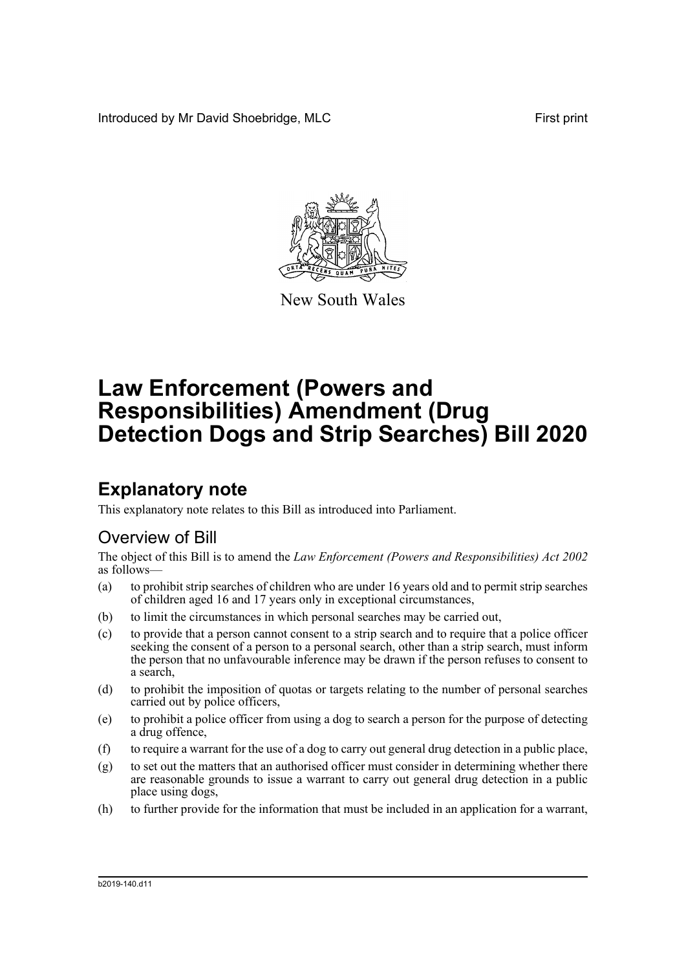Introduced by Mr David Shoebridge, MLC **First print** 



New South Wales

# **Law Enforcement (Powers and Responsibilities) Amendment (Drug Detection Dogs and Strip Searches) Bill 2020**

## **Explanatory note**

This explanatory note relates to this Bill as introduced into Parliament.

### Overview of Bill

The object of this Bill is to amend the *Law Enforcement (Powers and Responsibilities) Act 2002* as follows—

- (a) to prohibit strip searches of children who are under 16 years old and to permit strip searches of children aged 16 and 17 years only in exceptional circumstances,
- (b) to limit the circumstances in which personal searches may be carried out,
- (c) to provide that a person cannot consent to a strip search and to require that a police officer seeking the consent of a person to a personal search, other than a strip search, must inform the person that no unfavourable inference may be drawn if the person refuses to consent to a search,
- (d) to prohibit the imposition of quotas or targets relating to the number of personal searches carried out by police officers,
- (e) to prohibit a police officer from using a dog to search a person for the purpose of detecting a drug offence,
- (f) to require a warrant for the use of a dog to carry out general drug detection in a public place,
- (g) to set out the matters that an authorised officer must consider in determining whether there are reasonable grounds to issue a warrant to carry out general drug detection in a public place using dogs,
- (h) to further provide for the information that must be included in an application for a warrant,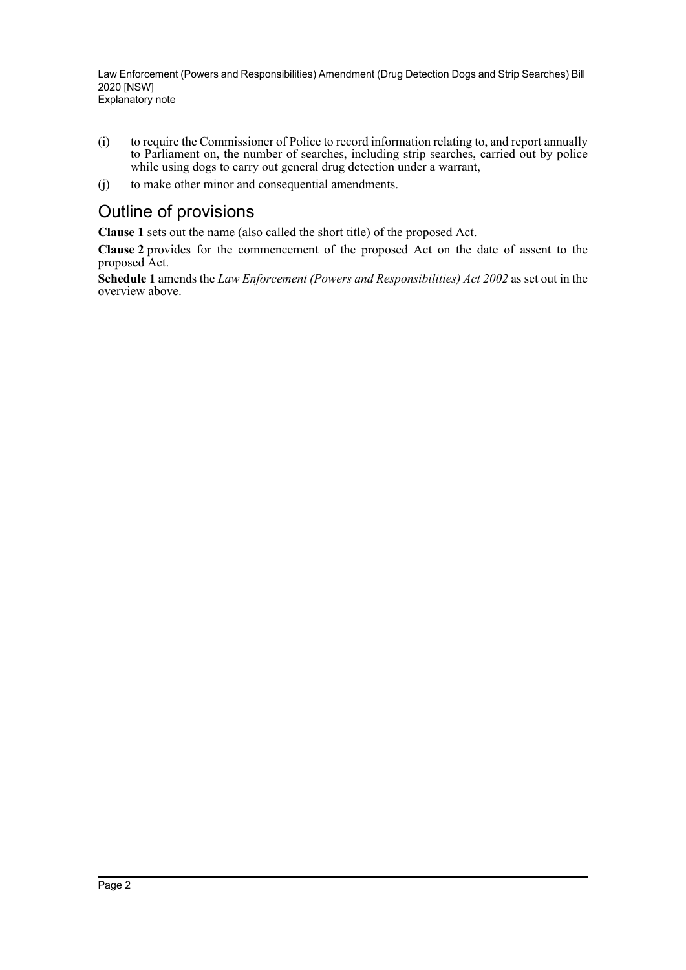- (i) to require the Commissioner of Police to record information relating to, and report annually to Parliament on, the number of searches, including strip searches, carried out by police while using dogs to carry out general drug detection under a warrant,
- (j) to make other minor and consequential amendments.

### Outline of provisions

**Clause 1** sets out the name (also called the short title) of the proposed Act.

**Clause 2** provides for the commencement of the proposed Act on the date of assent to the proposed Act.

**Schedule 1** amends the *Law Enforcement (Powers and Responsibilities) Act 2002* as set out in the overview above.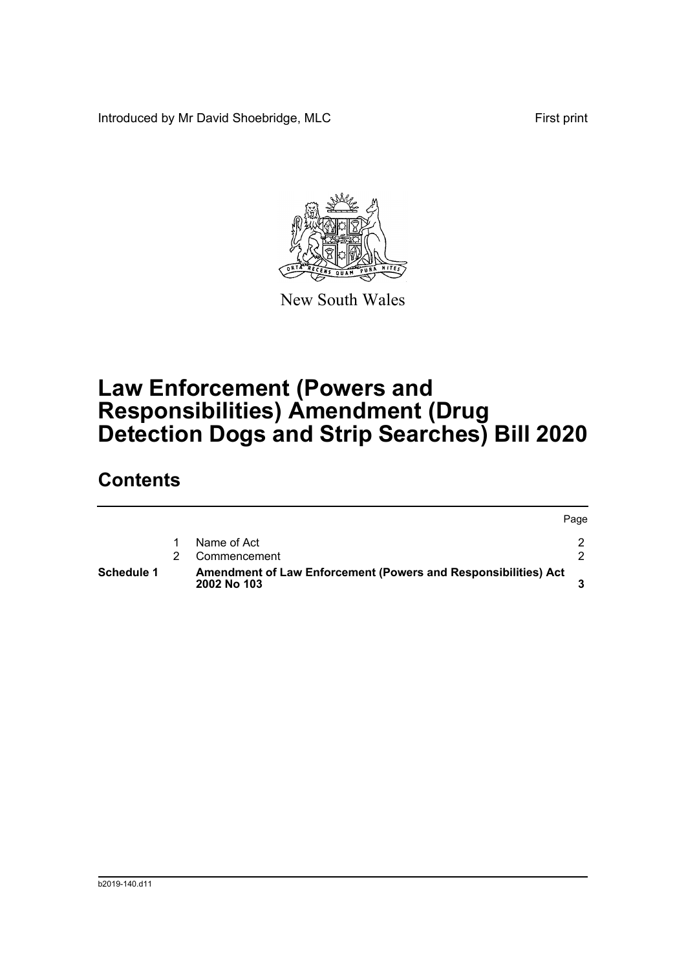Introduced by Mr David Shoebridge, MLC First print



New South Wales

## **Law Enforcement (Powers and Responsibilities) Amendment (Drug Detection Dogs and Strip Searches) Bill 2020**

### **Contents**

| Schedule 1 | Amendment of Law Enforcement (Powers and Responsibilities) Act<br>2002 No 103 |      |
|------------|-------------------------------------------------------------------------------|------|
|            | Commencement                                                                  |      |
|            | Name of Act                                                                   |      |
|            |                                                                               | Page |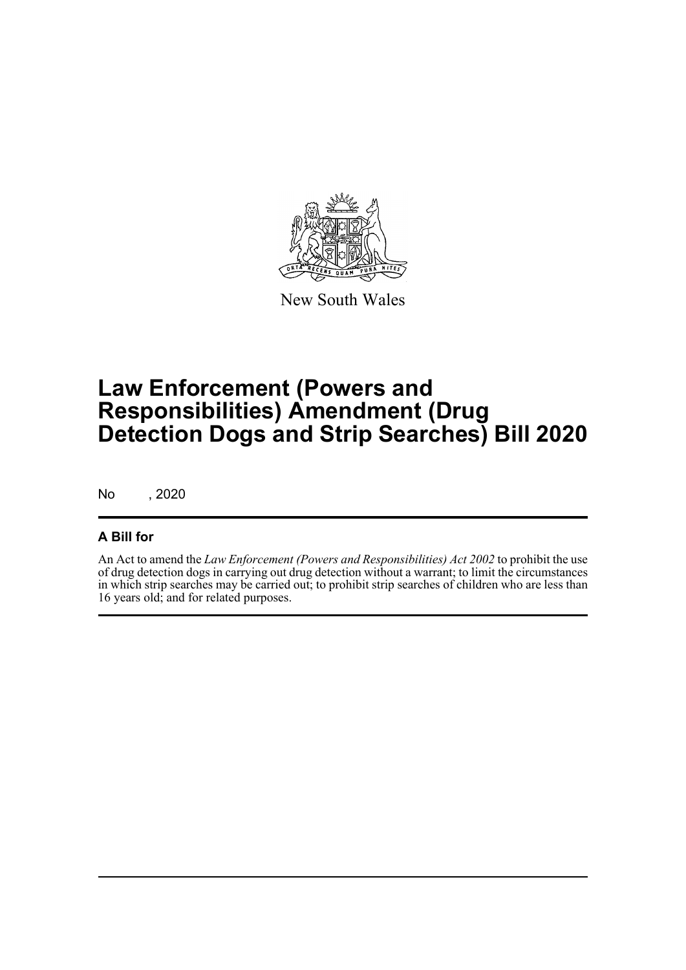

New South Wales

## **Law Enforcement (Powers and Responsibilities) Amendment (Drug Detection Dogs and Strip Searches) Bill 2020**

No , 2020

### **A Bill for**

An Act to amend the *Law Enforcement (Powers and Responsibilities) Act 2002* to prohibit the use of drug detection dogs in carrying out drug detection without a warrant; to limit the circumstances in which strip searches may be carried out; to prohibit strip searches of children who are less than 16 years old; and for related purposes.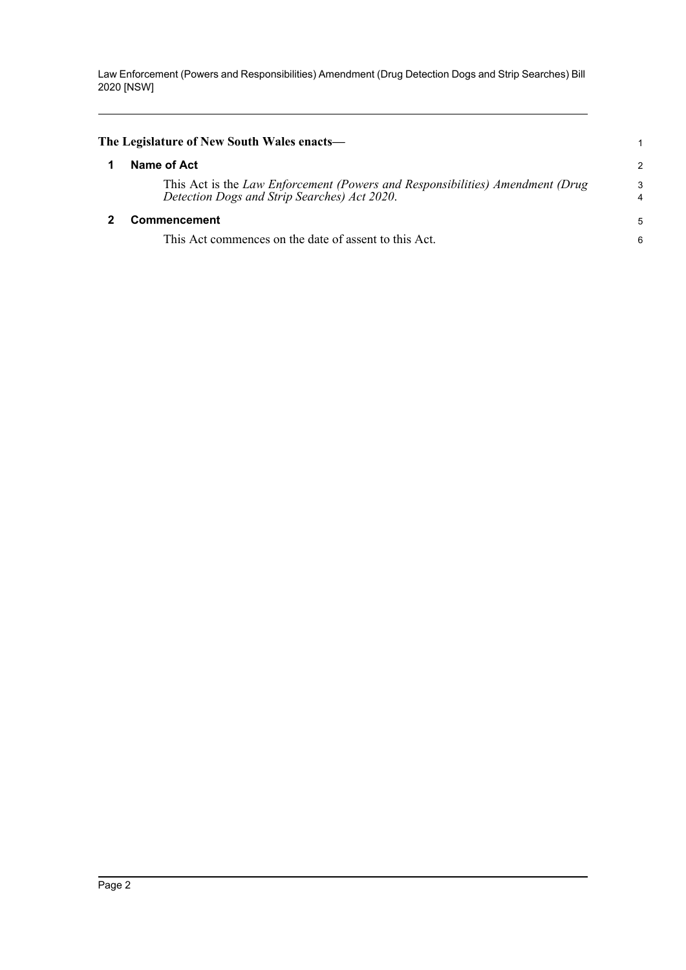<span id="page-4-1"></span><span id="page-4-0"></span>

| The Legislature of New South Wales enacts—                                                                                    |               |
|-------------------------------------------------------------------------------------------------------------------------------|---------------|
| Name of Act                                                                                                                   | $\mathcal{P}$ |
| This Act is the Law Enforcement (Powers and Responsibilities) Amendment (Drug<br>Detection Dogs and Strip Searches) Act 2020. | 3             |
| Commencement                                                                                                                  | 5             |
| This Act commences on the date of assent to this Act.                                                                         | 6             |
|                                                                                                                               |               |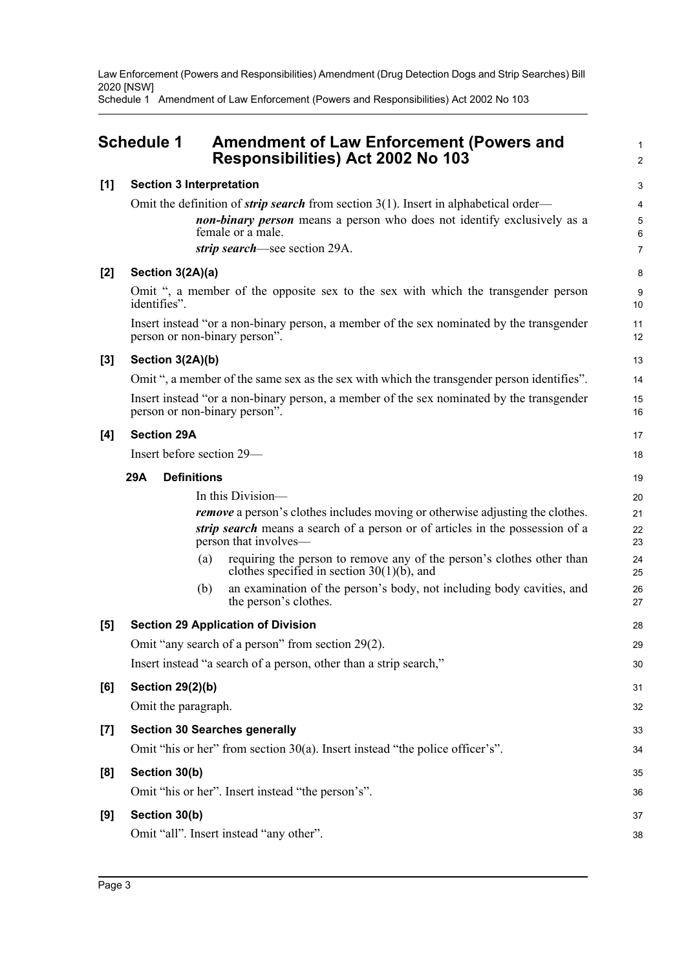Schedule 1 Amendment of Law Enforcement (Powers and Responsibilities) Act 2002 No 103

<span id="page-5-0"></span>

|       | <b>Schedule 1</b>               | <b>Amendment of Law Enforcement (Powers and</b><br><b>Responsibilities) Act 2002 No 103</b>                               | 1<br>$\overline{2}$ |
|-------|---------------------------------|---------------------------------------------------------------------------------------------------------------------------|---------------------|
| [1]   | <b>Section 3 Interpretation</b> |                                                                                                                           | 3                   |
|       |                                 | Omit the definition of <i>strip search</i> from section $3(1)$ . Insert in alphabetical order—                            | 4                   |
|       |                                 | non-binary person means a person who does not identify exclusively as a<br>female or a male.                              | 5<br>6              |
|       |                                 | strip search—see section 29A.                                                                                             | 7                   |
| $[2]$ | Section 3(2A)(a)                |                                                                                                                           | 8                   |
|       | identifies".                    | Omit ", a member of the opposite sex to the sex with which the transgender person                                         | 9<br>10             |
|       |                                 | Insert instead "or a non-binary person, a member of the sex nominated by the transgender<br>person or non-binary person". | 11<br>12            |
| [3]   | Section 3(2A)(b)                |                                                                                                                           | 13                  |
|       |                                 | Omit ", a member of the same sex as the sex with which the transgender person identifies".                                | 14                  |
|       | person or non-binary person".   | Insert instead "or a non-binary person, a member of the sex nominated by the transgender                                  | 15<br>16            |
| $[4]$ | <b>Section 29A</b>              |                                                                                                                           | 17                  |
|       | Insert before section 29—       |                                                                                                                           | 18                  |
|       | <b>Definitions</b><br>29A       |                                                                                                                           | 19                  |
|       |                                 | In this Division—                                                                                                         | 20                  |
|       |                                 | <i>remove</i> a person's clothes includes moving or otherwise adjusting the clothes.                                      | 21                  |
|       |                                 | strip search means a search of a person or of articles in the possession of a<br>person that involves—                    | 22<br>23            |
|       | (a)                             | requiring the person to remove any of the person's clothes other than<br>clothes specified in section $30(1)(b)$ , and    | 24<br>25            |
|       | (b)                             | an examination of the person's body, not including body cavities, and<br>the person's clothes.                            | 26<br>27            |
| [5]   |                                 | <b>Section 29 Application of Division</b>                                                                                 | 28                  |
|       |                                 | Omit "any search of a person" from section 29(2).                                                                         | 29                  |
|       |                                 | Insert instead "a search of a person, other than a strip search,"                                                         | 30                  |
| [6]   | <b>Section 29(2)(b)</b>         |                                                                                                                           | 31                  |
|       | Omit the paragraph.             |                                                                                                                           | 32                  |
| $[7]$ |                                 | <b>Section 30 Searches generally</b>                                                                                      | 33                  |
|       |                                 | Omit "his or her" from section $30(a)$ . Insert instead "the police officer's".                                           | 34                  |
| [8]   | Section 30(b)                   |                                                                                                                           | 35                  |
|       |                                 | Omit "his or her". Insert instead "the person's".                                                                         | 36                  |
| [9]   | Section 30(b)                   |                                                                                                                           | 37                  |
|       |                                 | Omit "all". Insert instead "any other".                                                                                   | 38                  |
|       |                                 |                                                                                                                           |                     |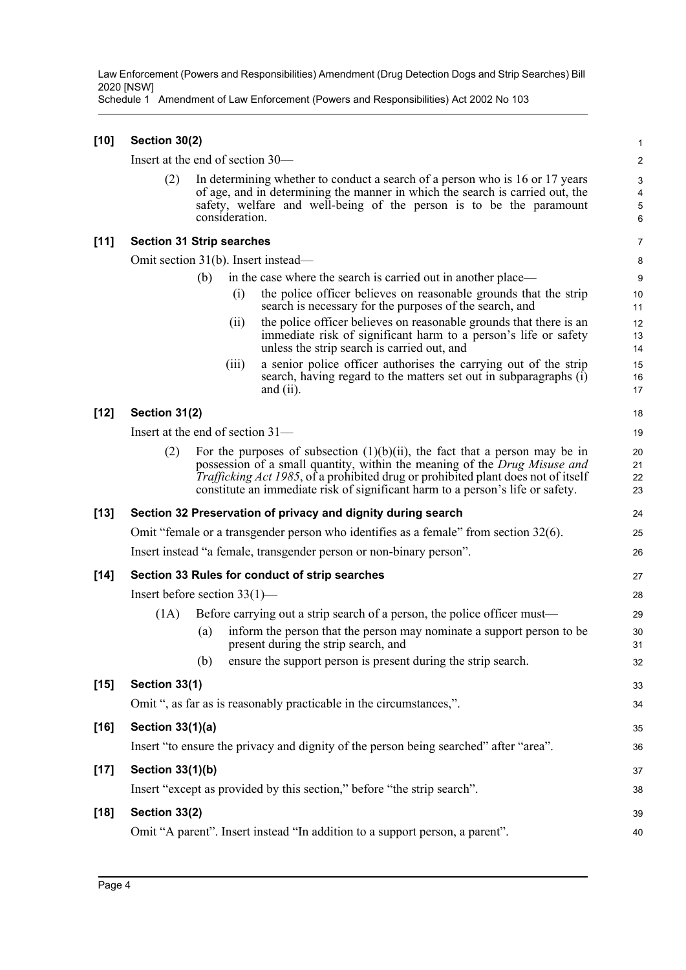Schedule 1 Amendment of Law Enforcement (Powers and Responsibilities) Act 2002 No 103

| [10] | Section 30(2) |  |
|------|---------------|--|
|      |               |  |

Insert at the end of section 30—

(2) In determining whether to conduct a search of a person who is 16 or 17 years of age, and in determining the manner in which the search is carried out, the safety, welfare and well-being of the person is to be the paramount consideration.

#### **[11] Section 31 Strip searches**

Omit section 31(b). Insert instead—

(b) in the case where the search is carried out in another place—

(i) the police officer believes on reasonable grounds that the strip search is necessary for the purposes of the search, and

40

- (ii) the police officer believes on reasonable grounds that there is an immediate risk of significant harm to a person's life or safety unless the strip search is carried out, and
- (iii) a senior police officer authorises the carrying out of the strip search, having regard to the matters set out in subparagraphs (i) and (ii).

#### **[12] Section 31(2)**

Insert at the end of section 31—

(2) For the purposes of subsection  $(1)(b)(ii)$ , the fact that a person may be in possession of a small quantity, within the meaning of the *Drug Misuse and Trafficking Act 1985*, of a prohibited drug or prohibited plant does not of itself constitute an immediate risk of significant harm to a person's life or safety.

#### **[13] Section 32 Preservation of privacy and dignity during search**

| Omit "female or a transgender person who identifies as a female" from section 32(6). |  |
|--------------------------------------------------------------------------------------|--|
| Insert instead "a female, transgender person or non-binary person".                  |  |

|        |                         |     | Insert instead "a female, transgender person or non-binary person".                                           | 26       |
|--------|-------------------------|-----|---------------------------------------------------------------------------------------------------------------|----------|
| $[14]$ |                         |     | Section 33 Rules for conduct of strip searches                                                                | 27       |
|        |                         |     | Insert before section $33(1)$ —                                                                               | 28       |
|        | (1A)                    |     | Before carrying out a strip search of a person, the police officer must—                                      | 29       |
|        |                         | (a) | inform the person that the person may nominate a support person to be<br>present during the strip search, and | 30<br>31 |
|        |                         | (b) | ensure the support person is present during the strip search.                                                 | 32       |
| $[15]$ | Section 33(1)           |     |                                                                                                               | 33       |
|        |                         |     | Omit ", as far as is reasonably practicable in the circumstances,".                                           | 34       |
| $[16]$ | Section 33(1)(a)        |     |                                                                                                               | 35       |
|        |                         |     | Insert "to ensure the privacy and dignity of the person being searched" after "area".                         | 36       |
| $[17]$ | <b>Section 33(1)(b)</b> |     |                                                                                                               | 37       |
|        |                         |     | Insert "except as provided by this section," before "the strip search".                                       | 38       |
| $[18]$ | Section 33(2)           |     |                                                                                                               | 39       |

Omit "A parent". Insert instead "In addition to a support person, a parent".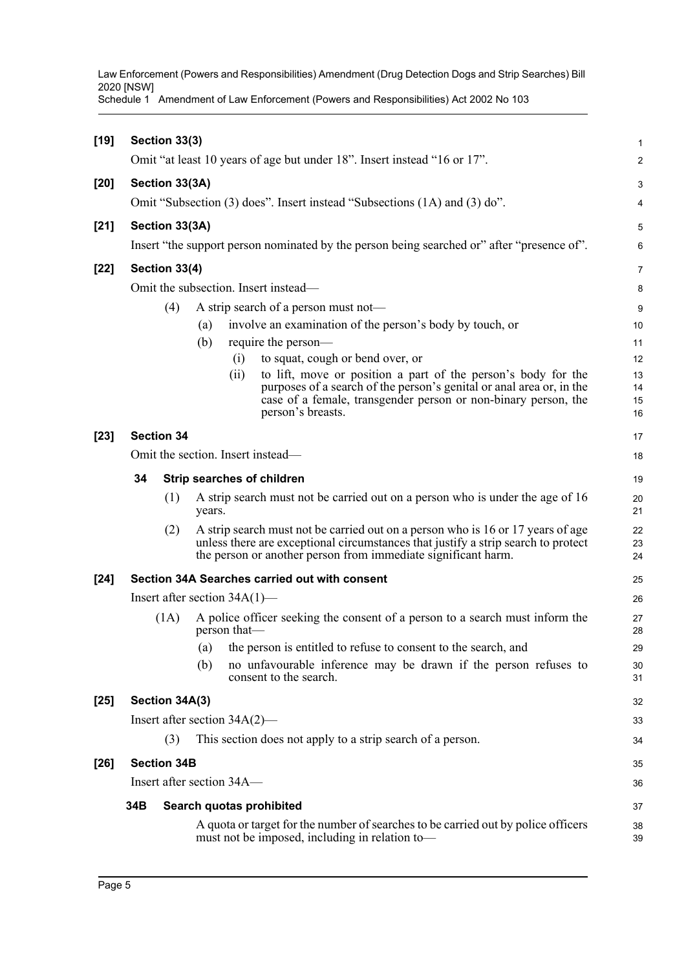Schedule 1 Amendment of Law Enforcement (Powers and Responsibilities) Act 2002 No 103

| $[19]$ |                | Section 33(3)                   |        |              |                                                                                                                                                                                                                                       | 1                    |
|--------|----------------|---------------------------------|--------|--------------|---------------------------------------------------------------------------------------------------------------------------------------------------------------------------------------------------------------------------------------|----------------------|
|        |                |                                 |        |              | Omit "at least 10 years of age but under 18". Insert instead "16 or 17".                                                                                                                                                              | $\overline{c}$       |
| $[20]$ | Section 33(3A) |                                 |        |              |                                                                                                                                                                                                                                       |                      |
|        |                |                                 |        |              | Omit "Subsection (3) does". Insert instead "Subsections (1A) and (3) do".                                                                                                                                                             | 4                    |
| $[21]$ |                | Section 33(3A)                  |        |              |                                                                                                                                                                                                                                       | 5                    |
|        |                |                                 |        |              | Insert "the support person nominated by the person being searched or" after "presence of".                                                                                                                                            | 6                    |
| $[22]$ |                | Section 33(4)                   |        |              |                                                                                                                                                                                                                                       | 7                    |
|        |                |                                 |        |              | Omit the subsection. Insert instead-                                                                                                                                                                                                  | 8                    |
|        |                | (4)                             |        |              | A strip search of a person must not—                                                                                                                                                                                                  | 9                    |
|        |                |                                 | (a)    |              | involve an examination of the person's body by touch, or                                                                                                                                                                              | 10                   |
|        |                |                                 | (b)    |              | require the person—                                                                                                                                                                                                                   | 11                   |
|        |                |                                 |        | (i)          | to squat, cough or bend over, or                                                                                                                                                                                                      | 12                   |
|        |                |                                 |        | (ii)         | to lift, move or position a part of the person's body for the<br>purposes of a search of the person's genital or anal area or, in the<br>case of a female, transgender person or non-binary person, the<br>person's breasts.          | 13<br>14<br>15<br>16 |
| $[23]$ |                | <b>Section 34</b>               |        |              |                                                                                                                                                                                                                                       | 17                   |
|        |                |                                 |        |              | Omit the section. Insert instead—                                                                                                                                                                                                     | 18                   |
|        | 34             |                                 |        |              | Strip searches of children                                                                                                                                                                                                            | 19                   |
|        |                | (1)                             | years. |              | A strip search must not be carried out on a person who is under the age of 16                                                                                                                                                         | 20<br>21             |
|        |                | (2)                             |        |              | A strip search must not be carried out on a person who is 16 or 17 years of age<br>unless there are exceptional circumstances that justify a strip search to protect<br>the person or another person from immediate significant harm. | 22<br>23<br>24       |
| $[24]$ |                |                                 |        |              | Section 34A Searches carried out with consent                                                                                                                                                                                         | 25                   |
|        |                | Insert after section $34A(1)$ — |        |              |                                                                                                                                                                                                                                       | 26                   |
|        |                | (1A)                            |        | person that- | A police officer seeking the consent of a person to a search must inform the                                                                                                                                                          | 27<br>28             |
|        |                |                                 |        |              | (a) the person is entitled to refuse to consent to the search, and                                                                                                                                                                    | 29                   |
|        |                |                                 | (b)    |              | no unfavourable inference may be drawn if the person refuses to<br>consent to the search.                                                                                                                                             | 30<br>31             |
| $[25]$ |                | Section 34A(3)                  |        |              |                                                                                                                                                                                                                                       | 32                   |
|        |                | Insert after section 34A(2)—    |        |              |                                                                                                                                                                                                                                       | 33                   |
|        |                | (3)                             |        |              | This section does not apply to a strip search of a person.                                                                                                                                                                            | 34                   |
| $[26]$ |                | <b>Section 34B</b>              |        |              |                                                                                                                                                                                                                                       | 35                   |
|        |                | Insert after section 34A—       |        |              |                                                                                                                                                                                                                                       | 36                   |
|        | 34B            |                                 |        |              | Search quotas prohibited                                                                                                                                                                                                              | 37                   |
|        |                |                                 |        |              | A quota or target for the number of searches to be carried out by police officers<br>must not be imposed, including in relation to-                                                                                                   | 38<br>39             |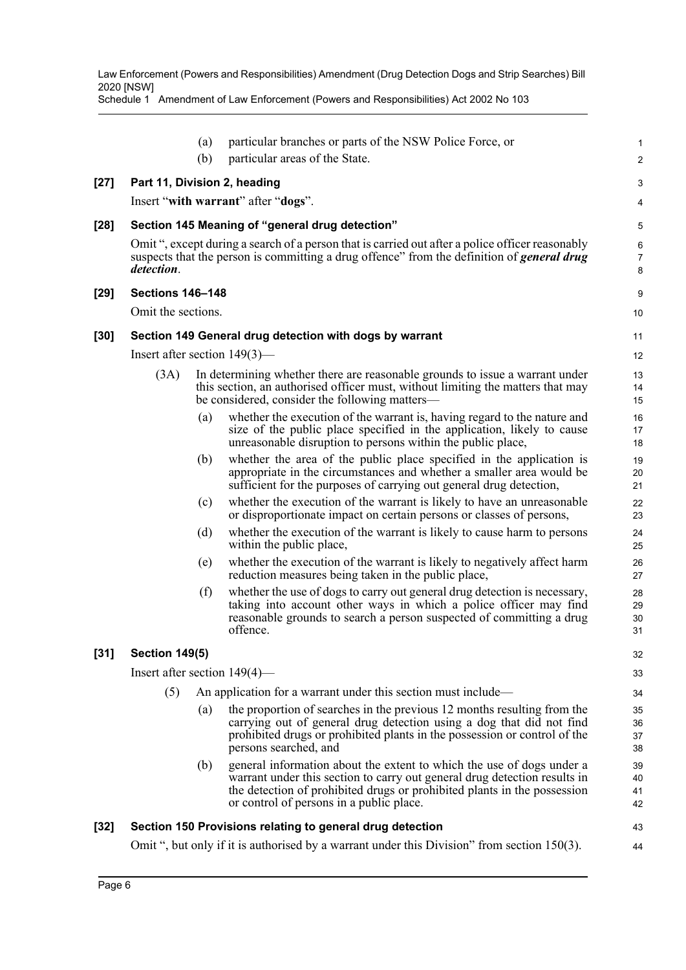Schedule 1 Amendment of Law Enforcement (Powers and Responsibilities) Act 2002 No 103

|        |                                 | (a) | particular branches or parts of the NSW Police Force, or                                                                                                                                                                                                                   | 1                         |
|--------|---------------------------------|-----|----------------------------------------------------------------------------------------------------------------------------------------------------------------------------------------------------------------------------------------------------------------------------|---------------------------|
|        |                                 | (b) | particular areas of the State.                                                                                                                                                                                                                                             | 2                         |
| $[27]$ |                                 |     | Part 11, Division 2, heading                                                                                                                                                                                                                                               | 3                         |
|        |                                 |     | Insert "with warrant" after "dogs".                                                                                                                                                                                                                                        | 4                         |
| $[28]$ |                                 |     | Section 145 Meaning of "general drug detection"                                                                                                                                                                                                                            | 5                         |
|        |                                 |     | Omit ", except during a search of a person that is carried out after a police officer reasonably<br>suspects that the person is committing a drug offence" from the definition of <i>general drug</i>                                                                      | $\,6\,$<br>$\overline{7}$ |
|        | detection.                      |     |                                                                                                                                                                                                                                                                            | 8                         |
| $[29]$ | <b>Sections 146-148</b>         |     |                                                                                                                                                                                                                                                                            | 9                         |
|        | Omit the sections.              |     |                                                                                                                                                                                                                                                                            | 10                        |
| $[30]$ |                                 |     | Section 149 General drug detection with dogs by warrant                                                                                                                                                                                                                    | 11                        |
|        | Insert after section $149(3)$ — |     |                                                                                                                                                                                                                                                                            | 12                        |
|        | (3A)                            |     | In determining whether there are reasonable grounds to issue a warrant under                                                                                                                                                                                               | 13                        |
|        |                                 |     | this section, an authorised officer must, without limiting the matters that may<br>be considered, consider the following matters—                                                                                                                                          | 14<br>15                  |
|        |                                 | (a) | whether the execution of the warrant is, having regard to the nature and                                                                                                                                                                                                   | 16                        |
|        |                                 |     | size of the public place specified in the application, likely to cause<br>unreasonable disruption to persons within the public place,                                                                                                                                      | 17<br>18                  |
|        |                                 | (b) | whether the area of the public place specified in the application is                                                                                                                                                                                                       | 19                        |
|        |                                 |     | appropriate in the circumstances and whether a smaller area would be<br>sufficient for the purposes of carrying out general drug detection,                                                                                                                                | 20<br>21                  |
|        |                                 | (c) | whether the execution of the warrant is likely to have an unreasonable<br>or disproportionate impact on certain persons or classes of persons,                                                                                                                             | 22<br>23                  |
|        |                                 | (d) | whether the execution of the warrant is likely to cause harm to persons<br>within the public place,                                                                                                                                                                        | 24<br>25                  |
|        |                                 | (e) | whether the execution of the warrant is likely to negatively affect harm<br>reduction measures being taken in the public place,                                                                                                                                            | 26<br>27                  |
|        |                                 | (f) | whether the use of dogs to carry out general drug detection is necessary,<br>taking into account other ways in which a police officer may find<br>reasonable grounds to search a person suspected of committing a drug<br>offence.                                         | 28<br>29<br>30<br>31      |
| $[31]$ | <b>Section 149(5)</b>           |     |                                                                                                                                                                                                                                                                            | 32                        |
|        | Insert after section $149(4)$ — |     |                                                                                                                                                                                                                                                                            | 33                        |
|        | (5)                             |     | An application for a warrant under this section must include—                                                                                                                                                                                                              | 34                        |
|        |                                 | (a) | the proportion of searches in the previous 12 months resulting from the<br>carrying out of general drug detection using a dog that did not find<br>prohibited drugs or prohibited plants in the possession or control of the<br>persons searched, and                      | 35<br>36<br>37<br>38      |
|        |                                 | (b) | general information about the extent to which the use of dogs under a<br>warrant under this section to carry out general drug detection results in<br>the detection of prohibited drugs or prohibited plants in the possession<br>or control of persons in a public place. | 39<br>40<br>41<br>42      |
| $[32]$ |                                 |     | Section 150 Provisions relating to general drug detection                                                                                                                                                                                                                  | 43                        |
|        |                                 |     | Omit ", but only if it is authorised by a warrant under this Division" from section 150(3).                                                                                                                                                                                | 44                        |